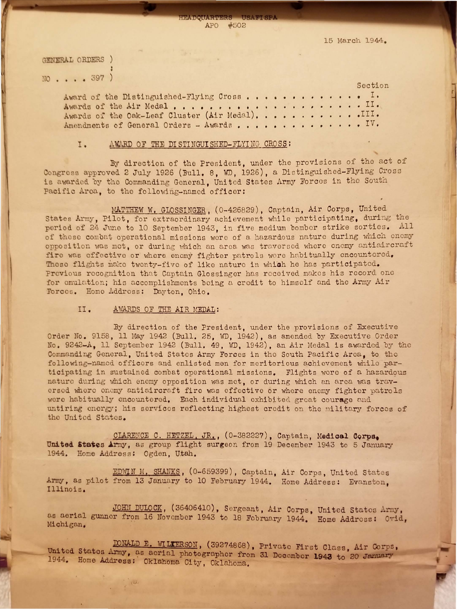

15 March 1944.

GENERAL ORDERS ) NO . . . . 397 ) Section Award of the Distinguished-Flying Cross................ Awards of the Air Medal........................... Awards of the Oak-Leaf Cluster (Air Medal). . . . . . . . . . . . III. Amendments of General Orders - Awards.................

## AWARD OF THE DISTINGUISHED-FLYING CROSS: I.

By direction of the President, under the provisions of the act of Congress approved 2 July 1926 (Bull. 8, WD, 1926), a Distinguished-Flying Cross is awarded by the Commanding General. United States Army Forces in the South

Pacific Area, to the following-named officer:

MATTHEW W. GLOSSINGER, (0-426829), Captain, Air Corps, United States Army, Pilot, for extraordinary achievement while participating, during the period of 24 June to 10 September 1943, in five medium bomber strike sorties. All of these combat operational missions were of a hazardous nature during which enemy opposition was met, or during which an area was traversed where enemy antiaircraft fire was effective or where enemy fighter patrols were habitually encountered. These flights make twenty-five of like nature in which he has participated. Previous recognition that Captain Glossinger has received makes his record one for emulation; his accomplishments being a credit to himself and the Army Air Forces. Home Address: Dayton, Ohio.

## AWARDS OF THE AIR MEDAL:  $II.$

By direction of the President, under the provisions of Executive Order No. 9158, 11 May 1942 (Bull. 25, WD, 1942), as amended by Executive Order No. 9242-A, 11 September 1942 (Bull. 49, WD, 1942), an Air Medal is awarded by the Commanding General, United States Army Forces in the South Pacific Area, to the following-named officers and enlisted men for meritorious achievement while participating in sustained combat operational missions. Flights were of a hazardous nature during which enemy opposition was met, or during which an area was traversed where enemy antiaircraft fire was effective or where enemy fighter patrols were habitually encountered. Each individual exhibited great courage and untiring energy; his services reflecting highest credit on the military forces of the United States.

CLARENCE C. HETZEL, JR., (0-382227), Captain, Medical Corps. United States Army, as group flight surgeon from 19 December 1943 to 5 January 1944. Home Address: Ogden, Utah.

EDWIN M. SHANKS, (0-659399), Captain, Air Corps, United States Army, as pilot from 13 January to 10 February 1944. Home Address: Evanston, Illinois.

JOHN DULOCK, (36406410), Sergeant, Air Corps, United States Army, as aerial gunner from 16 November 1943 to 18 February 1944. Home Address: Ovid, Michigan.

DONALD E. WILKERSON, (39274868), Private First Class, Air Corps, United States Army, as aerial photographer from 31 December 1943 to 20 January 1944. Home Address: Oklahoma City, Oklahoma.